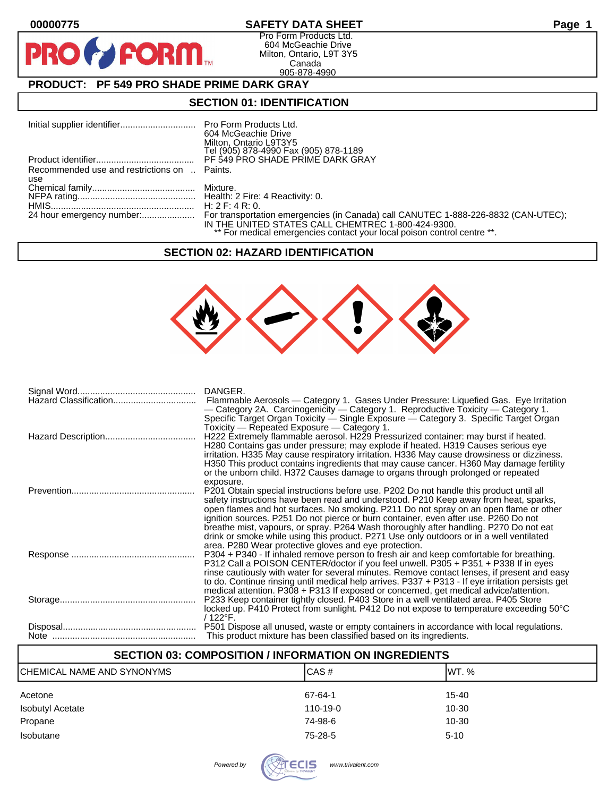$\bullet$ 

PR

### **00000775 SAFETY DATA SHEET Page 1**

Pro Form Products Ltd. 604 McGeachie Drive Milton, Ontario, L9T 3Y5 Canada 905-878-4990

## **PRODUCT: PF 549 PRO SHADE PRIME DARK GRAY**

**FORM.** 

### **SECTION 01: IDENTIFICATION**

|                                              | 604 McGeachie Drive                                                     |
|----------------------------------------------|-------------------------------------------------------------------------|
|                                              | Milton, Ontario L9T3Y5<br>Tel (905) 878-4990 Fax (905) 878-1189         |
|                                              | PF 549 PRO SHADE PRIME DARK GRAY                                        |
| Recommended use and restrictions on  Paints. |                                                                         |
| use                                          |                                                                         |
|                                              |                                                                         |
|                                              |                                                                         |
|                                              | IN THE UNITED STATES CALL CHEMTREC 1-800-424-9300.                      |
|                                              | ** For medical emergencies contact your local poison control centre **. |

### **SECTION 02: HAZARD IDENTIFICATION**



| DANGER.<br>Flammable Aerosols — Category 1. Gases Under Pressure: Liquefied Gas. Eye Irritation<br>- Category 2A. Carcinogenicity - Category 1. Reproductive Toxicity - Category 1.<br>Specific Target Organ Toxicity — Single Exposure — Category 3. Specific Target Organ                                                                                                                                                                                                                                                                                                                                                   |
|-------------------------------------------------------------------------------------------------------------------------------------------------------------------------------------------------------------------------------------------------------------------------------------------------------------------------------------------------------------------------------------------------------------------------------------------------------------------------------------------------------------------------------------------------------------------------------------------------------------------------------|
| Toxicity — Repeated Exposure — Category 1.<br>H222 Extremely flammable aerosol. H229 Pressurized container: may burst if heated.<br>H280 Contains gas under pressure; may explode if heated. H319 Causes serious eye<br>irritation. H335 May cause respiratory irritation. H336 May cause drowsiness or dizziness.<br>H350 This product contains ingredients that may cause cancer. H360 May damage fertility<br>or the unborn child. H372 Causes damage to organs through prolonged or repeated                                                                                                                              |
| exposure.<br>P201 Obtain special instructions before use. P202 Do not handle this product until all<br>safety instructions have been read and understood. P210 Keep away from heat, sparks,<br>open flames and hot surfaces. No smoking. P211 Do not spray on an open flame or other<br>ignition sources. P251 Do not pierce or burn container, even after use. P260 Do not                                                                                                                                                                                                                                                   |
| breathe mist, vapours, or spray. P264 Wash thoroughly after handling. P270 Do not eat<br>drink or smoke while using this product. P271 Use only outdoors or in a well ventilated<br>area. P280 Wear protective gloves and eye protection.<br>P304 + P340 - If inhaled remove person to fresh air and keep comfortable for breathing.<br>P312 Call a POISON CENTER/doctor if you feel unwell. P305 + P351 + P338 If in eyes<br>rinse cautiously with water for several minutes. Remove contact lenses, if present and easy<br>to do. Continue rinsing until medical help arrives. P337 + P313 - If eye irritation persists get |
| medical attention. P308 + P313 If exposed or concerned, get medical advice/attention.<br>P233 Keep container tightly closed. P403 Store in a well ventilated area. P405 Store<br>locked up. P410 Protect from sunlight. P412 Do not expose to temperature exceeding 50°C<br>/ 122°F.                                                                                                                                                                                                                                                                                                                                          |
| This product mixture has been classified based on its ingredients.                                                                                                                                                                                                                                                                                                                                                                                                                                                                                                                                                            |

| <b>SECTION 03: COMPOSITION / INFORMATION ON INGREDIENTS</b> |          |  |  |
|-------------------------------------------------------------|----------|--|--|
| CAS#                                                        | IWT. %   |  |  |
| 67-64-1                                                     | 15-40    |  |  |
| $110 - 19 - 0$                                              | 10-30    |  |  |
| 74-98-6                                                     | 10-30    |  |  |
| 75-28-5                                                     | $5 - 10$ |  |  |
|                                                             |          |  |  |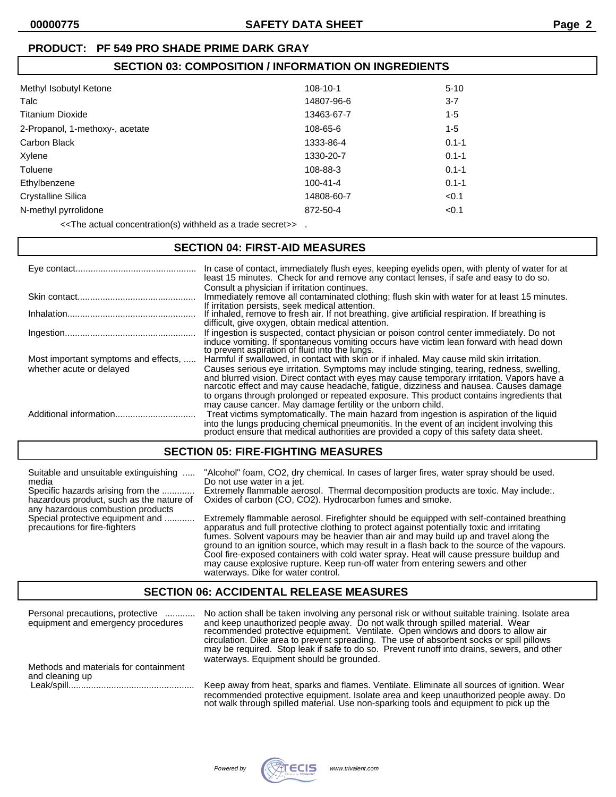## **PRODUCT: PF 549 PRO SHADE PRIME DARK GRAY**

# **SECTION 03: COMPOSITION / INFORMATION ON INGREDIENTS**

| Methyl Isobutyl Ketone          | $108 - 10 - 1$ | $5 - 10$  |
|---------------------------------|----------------|-----------|
| Talc                            | 14807-96-6     | $3 - 7$   |
| <b>Titanium Dioxide</b>         | 13463-67-7     | $1 - 5$   |
| 2-Propanol, 1-methoxy-, acetate | 108-65-6       | $1 - 5$   |
| Carbon Black                    | 1333-86-4      | $0.1 - 1$ |
| Xylene                          | 1330-20-7      | $0.1 - 1$ |
| Toluene                         | 108-88-3       | $0.1 - 1$ |
| Ethylbenzene                    | $100 - 41 - 4$ | $0.1 - 1$ |
| <b>Crystalline Silica</b>       | 14808-60-7     | < 0.1     |
| N-methyl pyrrolidone            | 872-50-4       | < 0.1     |
|                                 |                |           |

<<The actual concentration(s) withheld as a trade secret>> .

## **SECTION 04: FIRST-AID MEASURES**

|                                      | In case of contact, immediately flush eyes, keeping eyelids open, with plenty of water for at<br>least 15 minutes. Check for and remove any contact lenses, if safe and easy to do so.<br>Consult a physician if irritation continues.                                                                                                                                                                                                  |
|--------------------------------------|-----------------------------------------------------------------------------------------------------------------------------------------------------------------------------------------------------------------------------------------------------------------------------------------------------------------------------------------------------------------------------------------------------------------------------------------|
|                                      | Immediately remove all contaminated clothing; flush skin with water for at least 15 minutes.                                                                                                                                                                                                                                                                                                                                            |
|                                      | If irritation persists, seek medical attention.<br>If inhaled, remove to fresh air. If not breathing, give artificial respiration. If breathing is<br>difficult, give oxygen, obtain medical attention.                                                                                                                                                                                                                                 |
|                                      | If ingestion is suspected, contact physician or poison control center immediately. Do not<br>induce vomiting. If spontaneous vomiting occurs have victim lean forward with head down<br>to prevent aspiration of fluid into the lungs.                                                                                                                                                                                                  |
| Most important symptoms and effects, | Harmful if swallowed, in contact with skin or if inhaled. May cause mild skin irritation.                                                                                                                                                                                                                                                                                                                                               |
| whether acute or delayed             | Causes serious eye irritation. Symptoms may include stinging, tearing, redness, swelling,<br>and blurred vision. Direct contact with eyes may cause temporary irritation. Vapors have a narcotic effect and may cause headache, fatigue, dizziness and nausea. Causes damage<br>to organs through prolonged or repeated exposure. This product contains ingredients that<br>may cause cancer. May damage fertility or the unborn child. |
|                                      | Treat victims symptomatically. The main hazard from ingestion is aspiration of the liquid<br>into the lungs producing chemical pneumonitis. In the event of an incident involving this<br>product ensure that medical authorities are provided a copy of this safety data sheet.                                                                                                                                                        |

### **SECTION 05: FIRE-FIGHTING MEASURES**

| Suitable and unsuitable extinguishing                             | "Alcohol" foam, CO2, dry chemical. In cases of larger fires, water spray should be used.                                                                                                                                                                                                                                                                                                                                                                                                                                                                                                            |  |  |
|-------------------------------------------------------------------|-----------------------------------------------------------------------------------------------------------------------------------------------------------------------------------------------------------------------------------------------------------------------------------------------------------------------------------------------------------------------------------------------------------------------------------------------------------------------------------------------------------------------------------------------------------------------------------------------------|--|--|
| media                                                             | Do not use water in a jet.                                                                                                                                                                                                                                                                                                                                                                                                                                                                                                                                                                          |  |  |
| Specific hazards arising from the                                 | Extremely flammable aerosol. Thermal decomposition products are toxic. May include:.                                                                                                                                                                                                                                                                                                                                                                                                                                                                                                                |  |  |
| hazardous product, such as the nature of                          | Oxides of carbon (CO, CO2). Hydrocarbon fumes and smoke.                                                                                                                                                                                                                                                                                                                                                                                                                                                                                                                                            |  |  |
| any hazardous combustion products                                 |                                                                                                                                                                                                                                                                                                                                                                                                                                                                                                                                                                                                     |  |  |
| Special protective equipment and<br>precautions for fire-fighters | Extremely flammable aerosol. Firefighter should be equipped with self-contained breathing<br>apparatus and full protective clothing to protect against potentially toxic and irritating<br>fumes. Solvent vapours may be heavier than air and may build up and travel along the<br>ground to an ignition source, which may result in a flash back to the source of the vapours.<br>Cool fire-exposed containers with cold water spray. Heat will cause pressure buildup and<br>may cause explosive rupture. Keep run-off water from entering sewers and other<br>waterways. Dike for water control. |  |  |

### **SECTION 06: ACCIDENTAL RELEASE MEASURES**

| Personal precautions, protective         | No action shall be taken involving any personal risk or without suitable training. Isolate area                                                                                                                                                                              |
|------------------------------------------|------------------------------------------------------------------------------------------------------------------------------------------------------------------------------------------------------------------------------------------------------------------------------|
| equipment and emergency procedures       | and keep unauthorized people away. Do not walk through spilled material. Wear<br>recommended protective equipment. Ventilate. Open windows and doors to allow air                                                                                                            |
| waterways. Equipment should be grounded. | circulation. Dike area to prevent spreading. The use of absorbent socks or spill pillows                                                                                                                                                                                     |
| Methods and materials for containment    | may be required. Stop leak if safe to do so. Prevent runoff into drains, sewers, and other                                                                                                                                                                                   |
| and cleaning up                          | Keep away from heat, sparks and flames. Ventilate. Eliminate all sources of ignition. Wear<br>recommended protective equipment. Isolate area and keep unauthorized people away. Do<br>not walk through spilled material. Use non-sparking tools and equipment to pick up the |

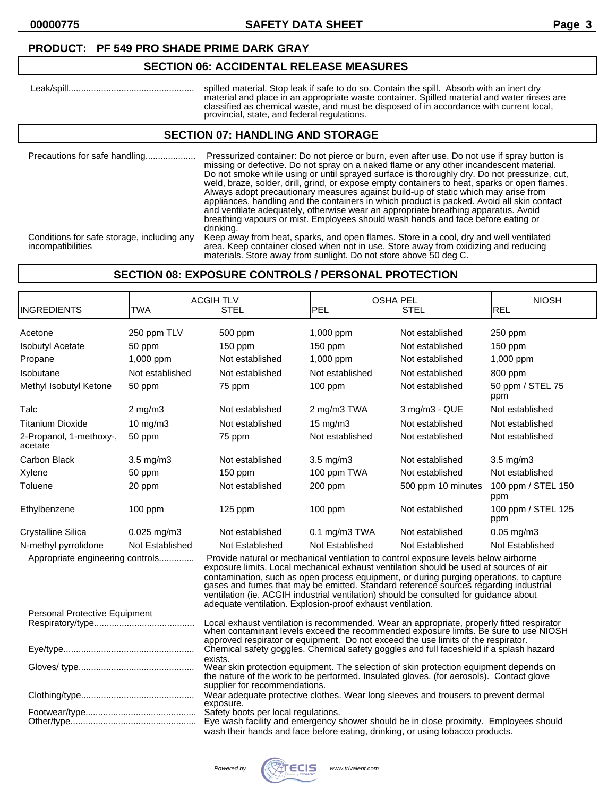**00000775 SAFETY DATA SHEET Page 3**

### **PRODUCT: PF 549 PRO SHADE PRIME DARK GRAY**

### **SECTION 06: ACCIDENTAL RELEASE MEASURES**

| spilled material. Stop leak if safe to do so. Contain the spill. Absorb with an inert dry                                              |
|----------------------------------------------------------------------------------------------------------------------------------------|
| material and place in an appropriate waste container. Spilled material and water rinses are                                            |
| classified as chemical waste, and must be disposed of in accordance with current local.<br>provincial, state, and federal regulations. |

### **SECTION 07: HANDLING AND STORAGE**

| Precautions for safe handling                                   | Pressurized container: Do not pierce or burn, even after use. Do not use if spray button is<br>missing or defective. Do not spray on a naked flame or any other incandescent material.<br>Do not smoke while using or until sprayed surface is thoroughly dry. Do not pressurize, cut,<br>weld, braze, solder, drill, grind, or expose empty containers to heat, sparks or open flames.<br>Always adopt precautionary measures against build-up of static which may arise from<br>appliances, handling and the containers in which product is packed. Avoid all skin contact<br>and ventilate adequately, otherwise wear an appropriate breathing apparatus. Avoid<br>breathing vapours or mist. Employees should wash hands and face before eating or<br>drinking. |
|-----------------------------------------------------------------|---------------------------------------------------------------------------------------------------------------------------------------------------------------------------------------------------------------------------------------------------------------------------------------------------------------------------------------------------------------------------------------------------------------------------------------------------------------------------------------------------------------------------------------------------------------------------------------------------------------------------------------------------------------------------------------------------------------------------------------------------------------------|
| Conditions for safe storage, including any<br>incompatibilities | Keep away from heat, sparks, and open flames. Store in a cool, dry and well ventilated<br>area. Keep container closed when not in use. Store away from oxidizing and reducing<br>materials. Store away from sunlight. Do not store above 50 deg C.                                                                                                                                                                                                                                                                                                                                                                                                                                                                                                                  |

### **SECTION 08: EXPOSURE CONTROLS / PERSONAL PROTECTION**

| INGREDIENTS                        | <b>TWA</b>       | <b>ACGIH TLV</b><br><b>STEL</b>                                                                                                                                                                                                                                                                                                                                                                                                                                                                                      | <b>OSHA PEL</b><br>PEL | <b>STEL</b>        | <b>NIOSH</b><br><b>REL</b> |
|------------------------------------|------------------|----------------------------------------------------------------------------------------------------------------------------------------------------------------------------------------------------------------------------------------------------------------------------------------------------------------------------------------------------------------------------------------------------------------------------------------------------------------------------------------------------------------------|------------------------|--------------------|----------------------------|
| Acetone                            | 250 ppm TLV      | 500 ppm                                                                                                                                                                                                                                                                                                                                                                                                                                                                                                              | 1,000 ppm              | Not established    | 250 ppm                    |
| <b>Isobutyl Acetate</b>            | 50 ppm           | 150 ppm                                                                                                                                                                                                                                                                                                                                                                                                                                                                                                              | 150 ppm                | Not established    | 150 ppm                    |
| Propane                            | 1,000 ppm        | Not established                                                                                                                                                                                                                                                                                                                                                                                                                                                                                                      | 1,000 ppm              | Not established    | 1,000 ppm                  |
| Isobutane                          | Not established  | Not established                                                                                                                                                                                                                                                                                                                                                                                                                                                                                                      | Not established        | Not established    | 800 ppm                    |
| Methyl Isobutyl Ketone             | 50 ppm           | 75 ppm                                                                                                                                                                                                                                                                                                                                                                                                                                                                                                               | $100$ ppm              | Not established    | 50 ppm / STEL 75<br>ppm    |
| Talc                               | $2$ mg/m $3$     | Not established                                                                                                                                                                                                                                                                                                                                                                                                                                                                                                      | 2 mg/m3 TWA            | 3 mg/m3 - QUE      | Not established            |
| Titanium Dioxide                   | 10 mg/m3         | Not established                                                                                                                                                                                                                                                                                                                                                                                                                                                                                                      | 15 mg/m3               | Not established    | Not established            |
| 2-Propanol, 1-methoxy-,<br>acetate | 50 ppm           | 75 ppm                                                                                                                                                                                                                                                                                                                                                                                                                                                                                                               | Not established        | Not established    | Not established            |
| Carbon Black                       | 3.5 mg/m3        | Not established                                                                                                                                                                                                                                                                                                                                                                                                                                                                                                      | $3.5 \text{ mg/m}$     | Not established    | $3.5 \text{ mg/m}$         |
| Xylene                             | 50 ppm           | $150$ ppm                                                                                                                                                                                                                                                                                                                                                                                                                                                                                                            | 100 ppm TWA            | Not established    | Not established            |
| Toluene                            | 20 ppm           | Not established                                                                                                                                                                                                                                                                                                                                                                                                                                                                                                      | 200 ppm                | 500 ppm 10 minutes | 100 ppm / STEL 150<br>ppm  |
| Ethylbenzene                       | 100 ppm          | $125$ ppm                                                                                                                                                                                                                                                                                                                                                                                                                                                                                                            | 100 ppm                | Not established    | 100 ppm / STEL 125<br>ppm  |
| Crystalline Silica                 | $0.025$ mg/m $3$ | Not established                                                                                                                                                                                                                                                                                                                                                                                                                                                                                                      | $0.1$ mg/m3 TWA        | Not established    | $0.05$ mg/m $3$            |
| N-methyl pyrrolidone               | Not Established  | Not Established                                                                                                                                                                                                                                                                                                                                                                                                                                                                                                      | Not Established        | Not Established    | Not Established            |
| Appropriate engineering controls   |                  | Provide natural or mechanical ventilation to control exposure levels below airborne<br>exposure limits. Local mechanical exhaust ventilation should be used at sources of air<br>contamination, such as open process equipment, or during purging operations, to capture gases and fumes that may be emitted. Standard reference sources regarding industrial<br>ventilation (ie. ACGIH industrial ventilation) should be consulted for guidance about<br>adequate ventilation. Explosion-proof exhaust ventilation. |                        |                    |                            |
| Personal Protective Equipment      |                  |                                                                                                                                                                                                                                                                                                                                                                                                                                                                                                                      |                        |                    |                            |
|                                    |                  | Local exhaust ventilation is recommended. Wear an appropriate, properly fitted respirator when contaminant levels exceed the recommended exposure limits. Be sure to use NIOSH                                                                                                                                                                                                                                                                                                                                       |                        |                    |                            |
|                                    |                  | approved respirator or equipment. Do not exceed the use limits of the respirator.<br>Chemical safety goggles. Chemical safety goggles and full faceshield if a splash hazard                                                                                                                                                                                                                                                                                                                                         |                        |                    |                            |
|                                    |                  | exists.                                                                                                                                                                                                                                                                                                                                                                                                                                                                                                              |                        |                    |                            |
|                                    |                  | Wear skin protection equipment. The selection of skin protection equipment depends on<br>the nature of the work to be performed. Insulated gloves. (for aerosols). Contact glove<br>supplier for recommendations.                                                                                                                                                                                                                                                                                                    |                        |                    |                            |
|                                    |                  | Wear adequate protective clothes. Wear long sleeves and trousers to prevent dermal<br>exposure.                                                                                                                                                                                                                                                                                                                                                                                                                      |                        |                    |                            |
|                                    |                  | Safety boots per local regulations.<br>Eye wash facility and emergency shower should be in close proximity. Employees should<br>wash their hands and face before eating, drinking, or using tobacco products.                                                                                                                                                                                                                                                                                                        |                        |                    |                            |

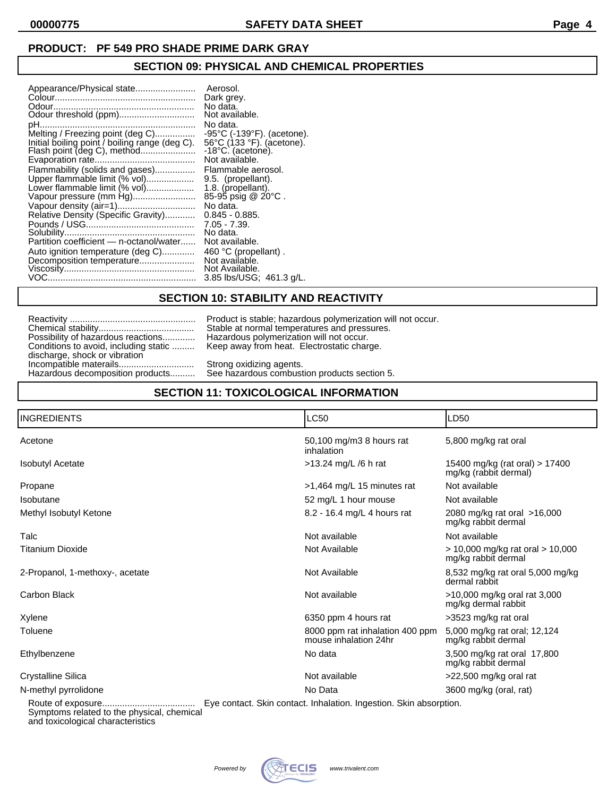## **SECTION 09: PHYSICAL AND CHEMICAL PROPERTIES**

| Appearance/Physical state<br>Aerosol.<br>Melting / Freezing point (deg C)<br>Initial boiling point / boiling range (deg C).<br>Flammability (solids and gases)<br>Upper flammable limit (% vol)<br>Lower flammable limit (% vol)<br>Vapour pressure (mm Hg)<br>Relative Density (Specific Gravity)<br>Partition coefficient - n-octanol/water<br>Auto ignition temperature (deg C)<br>Decomposition temperature | Dark grey.<br>No data.<br>Not available.<br>No data.<br>$-95^{\circ}$ C ( $-139^{\circ}$ F). (acetone).<br>56°C (133 °F). (acetone).<br>$-18^{\circ}$ C. (acetone).<br>Not available.<br>Flammable aerosol.<br>9.5. (propellant).<br>1.8. (propellant).<br>85-95 psig @ 20°C.<br>No data.<br>$0.845 - 0.885.$<br>$7.05 - 7.39$ .<br>No data.<br>Not available.<br>460 °C (propellant).<br>Not available.<br>Not Available.<br>3.85 lbs/USG; 461.3 g/L. |
|-----------------------------------------------------------------------------------------------------------------------------------------------------------------------------------------------------------------------------------------------------------------------------------------------------------------------------------------------------------------------------------------------------------------|--------------------------------------------------------------------------------------------------------------------------------------------------------------------------------------------------------------------------------------------------------------------------------------------------------------------------------------------------------------------------------------------------------------------------------------------------------|
|-----------------------------------------------------------------------------------------------------------------------------------------------------------------------------------------------------------------------------------------------------------------------------------------------------------------------------------------------------------------------------------------------------------------|--------------------------------------------------------------------------------------------------------------------------------------------------------------------------------------------------------------------------------------------------------------------------------------------------------------------------------------------------------------------------------------------------------------------------------------------------------|

### **SECTION 10: STABILITY AND REACTIVITY**

|                                       | Product is stable; hazardous polymerizati |
|---------------------------------------|-------------------------------------------|
|                                       | Stable at normal temperatures and press   |
| Possibility of hazardous reactions    | Hazardous polymerization will not occur.  |
| Conditions to avoid, including static | Keep away from heat. Electrostatic chard  |
| discharge, shock or vibration         |                                           |
|                                       | Strong oxidizing agents.                  |
| Hazardous decomposition products      | See hazardous combustion products sect    |

Reactivity .................................................. Product is stable; hazardous polymerization will not occur. Chemical stability...................................... Stable at normal temperatures and pressures. Conditions to avoid, including static ......... Keep away from heat. Electrostatic charge.

Hazardous decomposition products.......... See hazardous combustion products section 5.

## **SECTION 11: TOXICOLOGICAL INFORMATION**

| <b>INGREDIENTS</b>              | <b>LC50</b>                                                       | LD50                                                        |
|---------------------------------|-------------------------------------------------------------------|-------------------------------------------------------------|
| Acetone                         | 50,100 mg/m3 8 hours rat<br>inhalation                            | 5,800 mg/kg rat oral                                        |
| <b>Isobutyl Acetate</b>         | >13.24 mg/L /6 h rat                                              | 15400 mg/kg (rat oral) > 17400<br>mg/kg (rabbit dermal)     |
| Propane                         | >1,464 mg/L 15 minutes rat                                        | Not available                                               |
| Isobutane                       | 52 mg/L 1 hour mouse                                              | Not available                                               |
| Methyl Isobutyl Ketone          | 8.2 - 16.4 mg/L 4 hours rat                                       | 2080 mg/kg rat oral >16,000<br>mg/kg rabbit dermal          |
| Talc                            | Not available                                                     | Not available                                               |
| <b>Titanium Dioxide</b>         | Not Available                                                     | $> 10,000$ mg/kg rat oral $> 10,000$<br>mg/kg rabbit dermal |
| 2-Propanol, 1-methoxy-, acetate | Not Available                                                     | 8,532 mg/kg rat oral 5,000 mg/kg<br>dermal rabbit           |
| Carbon Black                    | Not available                                                     | >10,000 mg/kg oral rat 3,000<br>mg/kg dermal rabbit         |
| Xylene                          | 6350 ppm 4 hours rat                                              | >3523 mg/kg rat oral                                        |
| Toluene                         | 8000 ppm rat inhalation 400 ppm<br>mouse inhalation 24hr          | 5,000 mg/kg rat oral; 12,124<br>mg/kg rabbit dermal         |
| Ethylbenzene                    | No data                                                           | 3,500 mg/kg rat oral 17,800<br>mg/kg rabbit dermal          |
| Crystalline Silica              | Not available                                                     | $>22,500$ mg/kg oral rat                                    |
| N-methyl pyrrolidone            | No Data                                                           | 3600 mg/kg (oral, rat)                                      |
| Route of exposure               | Eve contact. Skin contact. Inhalation, Ingestion, Skin absorption |                                                             |

Route of exposure..................................... Eye contact. Skin contact. Inhalation. Ingestion. Skin absorption. Symptoms related to the physical, chemical and toxicological characteristics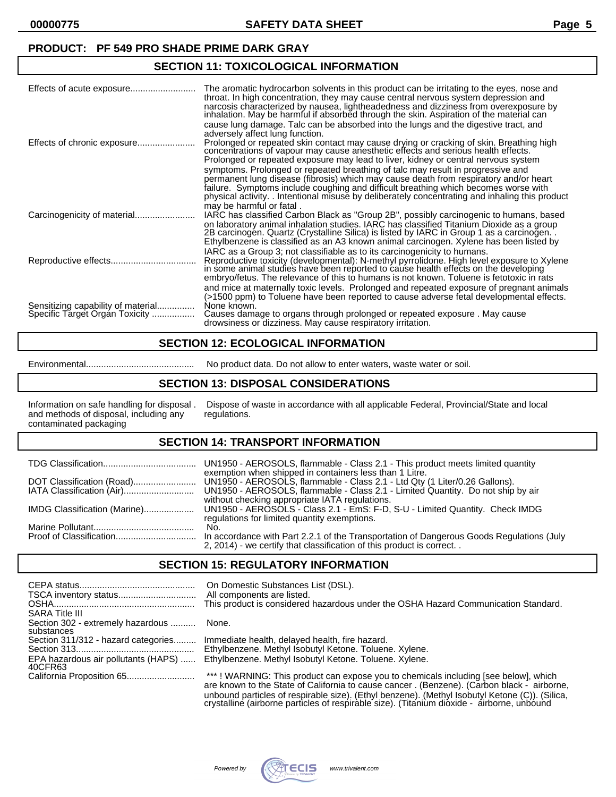**00000775 SAFETY DATA SHEET Page 5**

### **PRODUCT: PF 549 PRO SHADE PRIME DARK GRAY**

### **SECTION 11: TOXICOLOGICAL INFORMATION**

|                                                                      | The aromatic hydrocarbon solvents in this product can be irritating to the eyes, nose and<br>throat. In high concentration, they may cause central nervous system depression and<br>narcosis characterized by nausea, lightheadedness and dizziness from overexposure by<br>inhalation. May be harmful if absorbed through the skin. Aspiration of the material can<br>cause lung damage. Talc can be absorbed into the lungs and the digestive tract, and<br>adversely affect lung function.<br>Prolonged or repeated skin contact may cause drying or cracking of skin. Breathing high<br>concentrations of vapour may cause anesthetic effects and serious health effects.<br>Prolonged or repeated exposure may lead to liver, kidney or central nervous system<br>symptoms. Prolonged or repeated breathing of talc may result in progressive and<br>permanent lung disease (fibrosis) which may cause death from respiratory and/or heart<br>failure. Symptoms include coughing and difficult breathing which becomes worse with<br>physical activity. Intentional misuse by deliberately concentrating and inhaling this product |
|----------------------------------------------------------------------|-----------------------------------------------------------------------------------------------------------------------------------------------------------------------------------------------------------------------------------------------------------------------------------------------------------------------------------------------------------------------------------------------------------------------------------------------------------------------------------------------------------------------------------------------------------------------------------------------------------------------------------------------------------------------------------------------------------------------------------------------------------------------------------------------------------------------------------------------------------------------------------------------------------------------------------------------------------------------------------------------------------------------------------------------------------------------------------------------------------------------------------------|
|                                                                      | may be harmful or fatal.<br>IARC has classified Carbon Black as "Group 2B", possibly carcinogenic to humans, based<br>on laboratory animal inhalation studies. IARC has classified Titanium Dioxide as a group<br>2B carcinogén. Quartz (Crystalline Silica) is listed by IARC in Group 1 as a carcinogen<br>Ethylbenzene is classified as an A3 known animal carcinogen. Xylene has been listed by                                                                                                                                                                                                                                                                                                                                                                                                                                                                                                                                                                                                                                                                                                                                     |
|                                                                      | IARC as a Group 3; not classifiable as to its carcinogenicity to humans.<br>Reproductive toxicity (developmental): N-methyl pyrrolidone. High level exposure to Xylene<br>in some animal studies have been reported to cause health effects on the developing<br>embryo/fetus. The relevance of this to humans is not known. Toluene is fetotoxic in rats                                                                                                                                                                                                                                                                                                                                                                                                                                                                                                                                                                                                                                                                                                                                                                               |
| Sensitizing capability of material<br>Specific Target Organ Toxicity | and mice at maternally toxic levels. Prolonged and repeated exposure of pregnant animals<br>(>1500 ppm) to Toluene have been reported to cause adverse fetal developmental effects.<br>None known.<br>Causes damage to organs through prolonged or repeated exposure. May cause<br>drowsiness or dizziness. May cause respiratory irritation.                                                                                                                                                                                                                                                                                                                                                                                                                                                                                                                                                                                                                                                                                                                                                                                           |

### **SECTION 12: ECOLOGICAL INFORMATION**

#### Environmental........................................... No product data. Do not allow to enter waters, waste water or soil.

### **SECTION 13: DISPOSAL CONSIDERATIONS**

Information on safe handling for disposal . Dispose of waste in accordance with all applicable Federal, Provincial/State and local and methods of disposal, including any regulations. and methods of disposal, including any contaminated packaging

### **SECTION 14: TRANSPORT INFORMATION**

|                              | exemption when shipped in containers less than 1 Litre.                                  |
|------------------------------|------------------------------------------------------------------------------------------|
| IATA Classification (Air)    | UN1950 - AEROSOLS, flammable - Class 2.1 - Limited Quantity. Do not ship by air          |
|                              | without checking appropriate IATA regulations.                                           |
| IMDG Classification (Marine) | UN1950 - AEROSOLS - Class 2.1 - EmS: F-D, S-U - Limited Quantity. Check IMDG             |
|                              | regulations for limited quantity exemptions.                                             |
|                              | No.                                                                                      |
|                              | In accordance with Part 2.2.1 of the Transportation of Dangerous Goods Regulations (July |
|                              | 2, 2014) - we certify that classification of this product is correct. .                  |

### **SECTION 15: REGULATORY INFORMATION**

|                                                 | On Domestic Substances List (DSL).<br>All components are listed.<br>This product is considered hazardous under the OSHA Hazard Communication Standard.                            |
|-------------------------------------------------|-----------------------------------------------------------------------------------------------------------------------------------------------------------------------------------|
| <b>SARA Title III</b>                           |                                                                                                                                                                                   |
| Section 302 - extremely hazardous<br>substances | None.                                                                                                                                                                             |
| Section 311/312 - hazard categories             | Immediate health, delayed health, fire hazard.                                                                                                                                    |
|                                                 | Ethylbenzene. Methyl Isobutyl Ketone. Toluene. Xylene.                                                                                                                            |
| EPA hazardous air pollutants (HAPS)<br>40CFR63  | Ethylbenzene. Methyl Isobutyl Ketone. Toluene. Xylene.                                                                                                                            |
|                                                 | ***! WARNING: This product can expose you to chemicals including [see below], which<br>are known to the State of California to cause cancer, (Benzene). (Carbon black - airborne. |

are known to the State of California to cause cancer . (Benzene). (Carbon black - airborne, unbound particles of respirable size). (Ethyl benzene). (Methyl Isobutyl Ketone (C)). (Silica, crystalline (airborne particles of respiràble size). (Titaniùm dioxide - airborne, unbóund